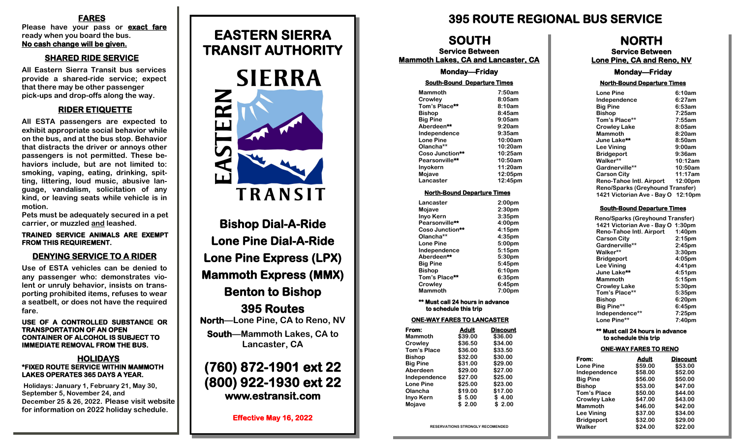#### **FARES**

**Please have your pass or exact fare ready when you board the bus. No cash change will be given.** 

### **SHARED RIDE SERVICE**

**All Eastern Sierra Transit bus services provide a shared-ride service; expect that there may be other passenger pick-ups and drop-offs along the way.**

### **RIDER ETIQUETTE**

**All ESTA passengers are expected to exhibit appropriate social behavior while on the bus, and at the bus stop. Behavior that distracts the driver or annoys other passengers is not permitted. These behaviors include, but are not limited to: smoking, vaping, eating, drinking, spitting, littering, loud music, abusive language, vandalism, solicitation of any kind, or leaving seats while vehicle is in motion.** 

**Pets must be adequately secured in a pet carrier, or muzzled and leashed.** 

#### **TRAINED SERVICE ANIMALS ARE EXEMPT FROM THIS REQUIREMENT.**

### **DENYING SERVICE TO A RIDER**

**Use of ESTA vehicles can be denied to any passenger who: demonstrates violent or unruly behavior, insists on transporting prohibited items, refuses to wear a seatbelt, or does not have the required fare.**

#### **USE OF A CONTROLLED SUBSTANCE OR TRANSPORTATION OF AN OPEN CONTAINER OF ALCOHOL IS SUBJECT TO IMMEDIATE REMOVAL FROM THE BUS.**

#### **HOLIDAYS \*FIXED ROUTE SERVICE WITHIN MAMMOTH LAKES OPERATES 365 DAYS A YEAR.**

**Holidays: January 1, February 21, May 30, September 5, November 24, and December 25 & 26, 2022. Please visit website for information on 2022 holiday schedule.**

# **EASTERN SIERRA TRANSIT AUTHORITY**



**Bishop Dial-A-Ride Lone Pine Dial-A-Ride Lone Pine Express (LPX) Mammoth Express (MMX) Benton to Bishop 395 Routes North—Lone Pine, CA to Reno, NV South—Mammoth Lakes, CA to Lancaster, CA (760) 872-1901 ext 22**

**(800) 922-1930 ext 22 www.estransit.com** 

**Effective May 16, 2022** 

### **395 ROUTE REGIONAL BUS SERVICE**

### **NORTH**

**Service Between Lone Pine, CA and Reno, NV** 

#### **Monday—Friday**

#### **North-Bound Departure Times**

| <b>Lone Pine</b>                        | 6:10am            |
|-----------------------------------------|-------------------|
| Independence                            | 6:27am            |
| <b>Big Pine</b>                         | 6:53am            |
| <b>Bishop</b>                           | 7:25am            |
| Tom's Place**                           | 7:55am            |
| <b>Crowley Lake</b>                     | 8:05am            |
| <b>Mammoth</b>                          | 8:20am            |
| June Lake**                             | 8:50am            |
| <b>Lee Vining</b>                       | 9:00am            |
| <b>Bridgeport</b>                       | 9:36am            |
| Walker**                                | 10:12am           |
| Gardnerville**                          | 10:50am           |
| <b>Carson City</b>                      | 11:17am           |
| Reno-Tahoe Intl. Airport                | $12:00 \text{pm}$ |
| <b>Reno/Sparks (Greyhound Transfer)</b> |                   |
| 1421 Victorian Ave - Bay O 12:10pm      |                   |
|                                         |                   |

#### **South-Bound Departure Times**

| <b>Reno/Sparks (Greyhound Transfer)</b> |                    |
|-----------------------------------------|--------------------|
| 1421 Victorian Ave - Bay O 1:30pm       |                    |
| <b>Reno-Tahoe Intl. Airport</b>         | 1:40 <sub>pm</sub> |
| <b>Carson City</b>                      | $2:15$ pm          |
| Gardnerville**                          | 2:45 <sub>pm</sub> |
| Walker**                                | 3:30 <sub>pm</sub> |
| <b>Bridgeport</b>                       | 4:05pm             |
| <b>Lee Vining</b>                       | $4:41$ pm          |
| June Lake**                             | 4:51 <sub>pm</sub> |
| <b>Mammoth</b>                          | 5:15 <sub>pm</sub> |
| <b>Crowley Lake</b>                     | 5:30 <sub>pm</sub> |
| Tom's Place**                           | 5:35 <sub>pm</sub> |
| <b>Bishop</b>                           | 6:20 <sub>pm</sub> |
| Big Pine**                              | $6:45$ pm          |
| Independence**                          | $7:25$ pm          |
| Lone Pine**                             | 7:40 <sub>pm</sub> |

#### **\*\* Must call 24 hours in advance to schedule this trip**

#### **ONE-WAY FARES TO RENO**

| From:               | <b>Adult</b> | <b>Discount</b> |
|---------------------|--------------|-----------------|
| <b>Lone Pine</b>    | \$59.00      | \$53.00         |
| Independence        | \$58.00      | \$52.00         |
| <b>Big Pine</b>     | \$56.00      | \$50.00         |
| <b>Bishop</b>       | \$53.00      | \$47.00         |
| <b>Tom's Place</b>  | \$50.00      | \$44.00         |
| <b>Crowley Lake</b> | \$47.00      | \$43.00         |
| <b>Mammoth</b>      | \$46.00      | \$42.00         |
| <b>Lee Vining</b>   | \$37.00      | \$34.00         |
| <b>Bridgeport</b>   | \$32.00      | \$29.00         |
| Walker              | \$24.00      | \$22.00         |

| <b>RESERVATIONS STRONGLY RECOMENDED</b> |  |
|-----------------------------------------|--|
|-----------------------------------------|--|

**Tom's Place \$36.00 \$33.50 Bishop \$32.00 \$30.00**

**Aberdeen \$29.00 \$27.00 Independence \$27.00 \$25.00**

**Olancha \$19.00 \$17.00 Inyo Kern \$ 5.00 \$ 4.00 Mojave \$ 2.00 \$ 2.00**

 **SOUTH Service Between Mammoth Lakes, CA and Lancaster, CA Monday—Friday South-Bound Departure Times Mammoth 7:50am Crowley 8:05am Tom's Place\*\* 8:10am Bishop 8:45am Big Pine** 9:05am<br>
Aberdeen\*\* 9:20am

> **Independence 9:35am Lone Pine** 10:00am<br> **Olancha\*\*** 10:20am

> **Coso Junction\*\* 10:25am Pearsonville\*\* 10:50am Inyokern 11:20am Mojave 12:05pm Lancaster 12:45pm North-Bound Departure Times Lancaster 2:00pm Mojave 2:30pm Inyo Kern 3:35pm** Pearsonville\*\* 4:00pm **Coso Junction\*\* 4:15pm Olancha\*\*** 4:35pm<br> **Lone Pine** 5:00pm

**Independence 5:15pm Aberdeen\*\* 5:30pm Big Pine 5:45pm Bishop 6:10pm Tom's Place\*\* 6:35pm Crowley 6:45pm Mammoth 7:00pm \*\* Must call 24 hours in advance to schedule this trip ONE-WAY FARES TO LANCASTER From:** Adult Discount<br>
Mammoth \$39.00 \$36.00 **Mammoth \$39.00 \$36.00**

**Olancha\*\* 10:20am** 

Aberdeen\*\*

**Lone Pine** 

**Crowley \$36.50 \$34.00**

**Big Pine** 

**Lone Pine**